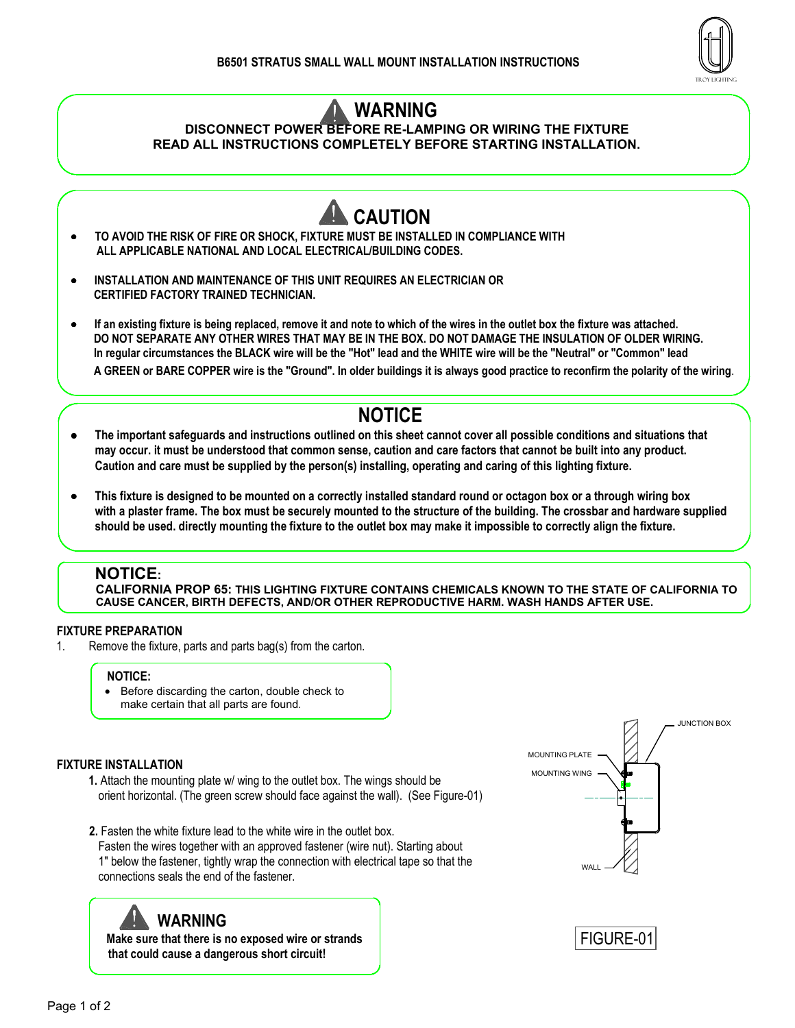

# WARNING

### DISCONNECT POWER BEFORE RE-LAMPING OR WIRING THE FIXTURE READ ALL INSTRUCTIONS COMPLETELY BEFORE STARTING INSTALLATION.



- INSTALLATION AND MAINTENANCE OF THIS UNIT REQUIRES AN ELECTRICIAN OR CERTIFIED FACTORY TRAINED TECHNICIAN.
- If an existing fixture is being replaced, remove it and note to which of the wires in the outlet box the fixture was attached. DO NOT SEPARATE ANY OTHER WIRES THAT MAY BE IN THE BOX. DO NOT DAMAGE THE INSULATION OF OLDER WIRING. In regular circumstances the BLACK wire will be the "Hot" lead and the WHITE wire will be the "Neutral" or "Common" lead A GREEN or BARE COPPER wire is the "Ground". In older buildings it is always good practice to reconfirm the polarity of the wiring.

# NOTICE

- The important safeguards and instructions outlined on this sheet cannot cover all possible conditions and situations that may occur. it must be understood that common sense, caution and care factors that cannot be built into any product. Caution and care must be supplied by the person(s) installing, operating and caring of this lighting fixture.
- This fixture is designed to be mounted on a correctly installed standard round or octagon box or a through wiring box with a plaster frame. The box must be securely mounted to the structure of the building. The crossbar and hardware supplied should be used. directly mounting the fixture to the outlet box may make it impossible to correctly align the fixture.

### NOTICE:

 $\overline{a}$ 

CALIFORNIA PROP 65: THIS LIGHTING FIXTURE CONTAINS CHEMICALS KNOWN TO THE STATE OF CALIFORNIA TO CAUSE CANCER, BIRTH DEFECTS, AND/OR OTHER REPRODUCTIVE HARM. WASH HANDS AFTER USE.

### FIXTURE PREPARATION

1. Remove the fixture, parts and parts bag(s) from the carton.

#### NOTICE:

• Before discarding the carton, double check to make certain that all parts are found.

#### FIXTURE INSTALLATION

- 1. Attach the mounting plate w/ wing to the outlet box. The wings should be orient horizontal. (The green screw should face against the wall). (See Figure-01)
- 2. Fasten the white fixture lead to the white wire in the outlet box. Fasten the wires together with an approved fastener (wire nut). Starting about 1" below the fastener, tightly wrap the connection with electrical tape so that the connections seals the end of the fastener.

# WARNING

 Make sure that there is no exposed wire or strands that could cause a dangerous short circuit!